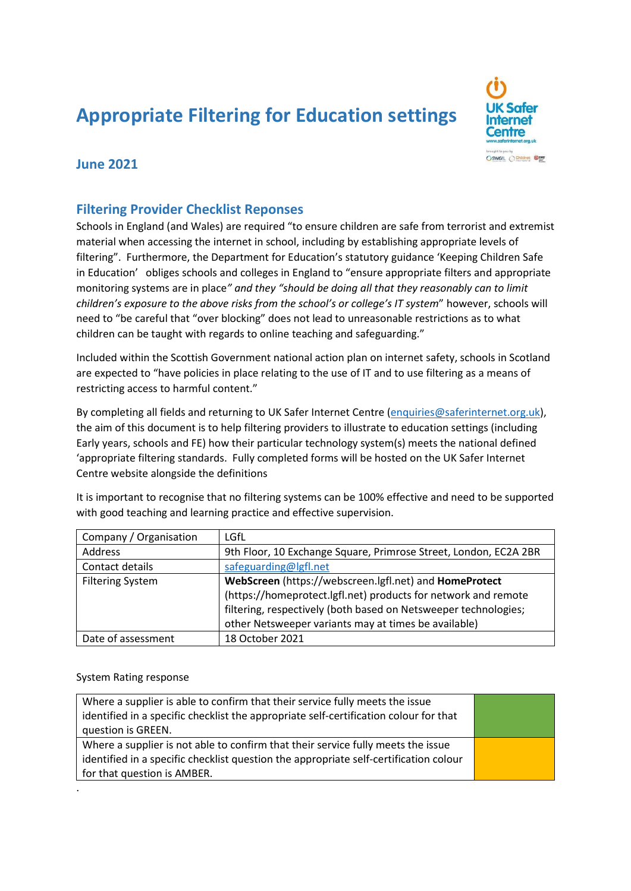# **Appropriate Filtering for Education settings**



## **June 2021**

## **Filtering Provider Checklist Reponses**

Schools in England (and Wales) are required "to ensure children are safe from terrorist and extremist material when accessing the internet in school, including by establishing appropriate levels of filtering". Furthermore, the Department for Education's statutory guidance 'Keeping Children Safe in Education' obliges schools and colleges in England to "ensure appropriate filters and appropriate monitoring systems are in place*" and they "should be doing all that they reasonably can to limit children's exposure to the above risks from the school's or college's IT system*" however, schools will need to "be careful that "over blocking" does not lead to unreasonable restrictions as to what children can be taught with regards to online teaching and safeguarding."

Included within the Scottish Government national action plan on internet safety, schools in Scotland are expected to "have policies in place relating to the use of IT and to use filtering as a means of restricting access to harmful content."

By completing all fields and returning to UK Safer Internet Centre [\(enquiries@saferinternet.org.uk\)](mailto:enquiries@saferinternet.org.uk), the aim of this document is to help filtering providers to illustrate to education settings (including Early years, schools and FE) how their particular technology system(s) meets the national defined 'appropriate filtering standards. Fully completed forms will be hosted on the UK Safer Internet Centre website alongside the definitions

Company / Organisation | LGfL Address 9th Floor, 10 Exchange Square, Primrose Street, London, EC2A 2BR Contact details [safeguarding@lgfl.net](mailto:safeguarding@lgfl.net) Filtering System **WebScreen** (https://webscreen.lgfl.net) and **HomeProtect** (https://homeprotect.lgfl.net) products for network and remote filtering, respectively (both based on Netsweeper technologies; other Netsweeper variants may at times be available) Date of assessment 18 October 2021

It is important to recognise that no filtering systems can be 100% effective and need to be supported with good teaching and learning practice and effective supervision.

#### System Rating response

| Where a supplier is able to confirm that their service fully meets the issue          |  |
|---------------------------------------------------------------------------------------|--|
| identified in a specific checklist the appropriate self-certification colour for that |  |
| question is GREEN.                                                                    |  |
| Where a supplier is not able to confirm that their service fully meets the issue      |  |
| identified in a specific checklist question the appropriate self-certification colour |  |
| for that question is AMBER.                                                           |  |
|                                                                                       |  |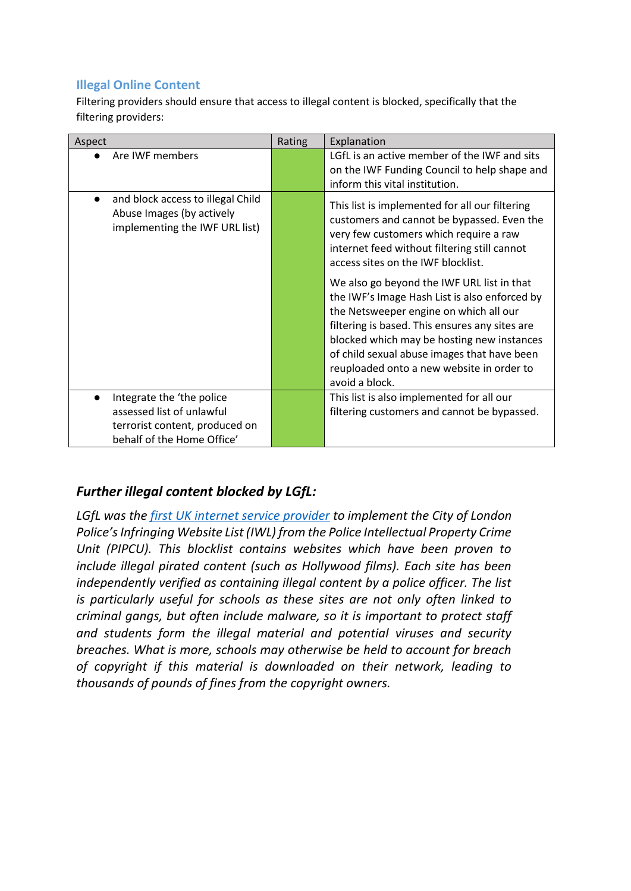## **Illegal Online Content**

Filtering providers should ensure that access to illegal content is blocked, specifically that the filtering providers:

| Aspect                                                                                                        | Rating | Explanation                                                                                                                                                                                                                                                                                                                                                                                                                                                                                                                                                                         |
|---------------------------------------------------------------------------------------------------------------|--------|-------------------------------------------------------------------------------------------------------------------------------------------------------------------------------------------------------------------------------------------------------------------------------------------------------------------------------------------------------------------------------------------------------------------------------------------------------------------------------------------------------------------------------------------------------------------------------------|
| Are IWF members                                                                                               |        | LGfL is an active member of the IWF and sits<br>on the IWF Funding Council to help shape and<br>inform this vital institution.                                                                                                                                                                                                                                                                                                                                                                                                                                                      |
| and block access to illegal Child<br>$\bullet$<br>Abuse Images (by actively<br>implementing the IWF URL list) |        | This list is implemented for all our filtering<br>customers and cannot be bypassed. Even the<br>very few customers which require a raw<br>internet feed without filtering still cannot<br>access sites on the IWF blocklist.<br>We also go beyond the IWF URL list in that<br>the IWF's Image Hash List is also enforced by<br>the Netsweeper engine on which all our<br>filtering is based. This ensures any sites are<br>blocked which may be hosting new instances<br>of child sexual abuse images that have been<br>reuploaded onto a new website in order to<br>avoid a block. |
| Integrate the 'the police<br>$\bullet$                                                                        |        | This list is also implemented for all our                                                                                                                                                                                                                                                                                                                                                                                                                                                                                                                                           |
| assessed list of unlawful                                                                                     |        | filtering customers and cannot be bypassed.                                                                                                                                                                                                                                                                                                                                                                                                                                                                                                                                         |
| terrorist content, produced on                                                                                |        |                                                                                                                                                                                                                                                                                                                                                                                                                                                                                                                                                                                     |
| behalf of the Home Office'                                                                                    |        |                                                                                                                                                                                                                                                                                                                                                                                                                                                                                                                                                                                     |

## *Further illegal content blocked by LGfL:*

*LGfL was the [first UK internet service provider](http://www.govopps.co.uk/not-for-profit-lgfl-is-first-educational-technology-company-and-internet-service-provider-to-work-with-city-of-london-police-to-block-known-piracy-sites/) to implement the City of London Police's Infringing Website List (IWL) from the Police Intellectual Property Crime Unit (PIPCU). This blocklist contains websites which have been proven to include illegal pirated content (such as Hollywood films). Each site has been independently verified as containing illegal content by a police officer. The list is particularly useful for schools as these sites are not only often linked to criminal gangs, but often include malware, so it is important to protect staff and students form the illegal material and potential viruses and security breaches. What is more, schools may otherwise be held to account for breach of copyright if this material is downloaded on their network, leading to thousands of pounds of fines from the copyright owners.*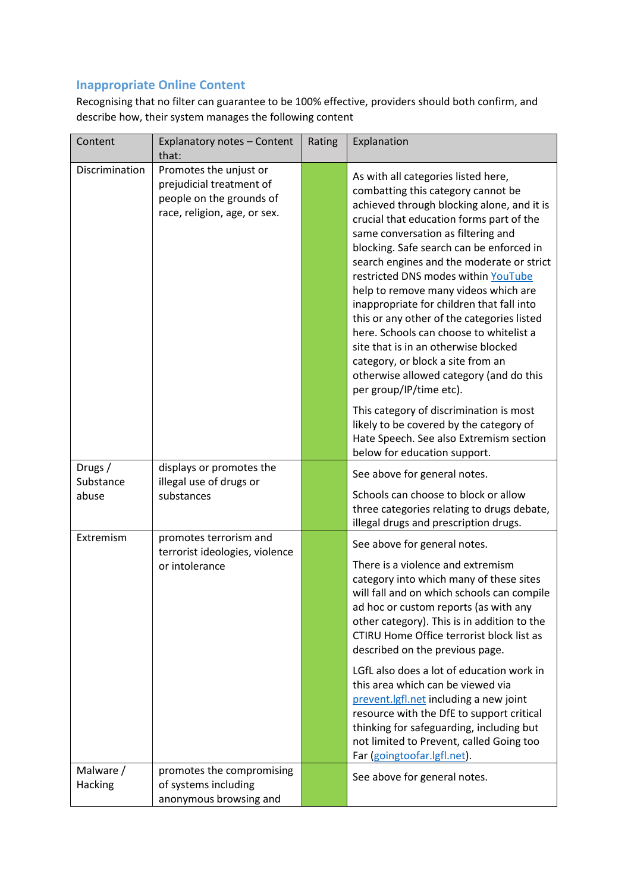## **Inappropriate Online Content**

Recognising that no filter can guarantee to be 100% effective, providers should both confirm, and describe how, their system manages the following content

| Content              | Explanatory notes - Content<br>that:                                                                           | Rating | Explanation                                                                                                                                                                                                                                                                                                                                                                                                                                                                                                                                                                                                                                                                |
|----------------------|----------------------------------------------------------------------------------------------------------------|--------|----------------------------------------------------------------------------------------------------------------------------------------------------------------------------------------------------------------------------------------------------------------------------------------------------------------------------------------------------------------------------------------------------------------------------------------------------------------------------------------------------------------------------------------------------------------------------------------------------------------------------------------------------------------------------|
| Discrimination       | Promotes the unjust or<br>prejudicial treatment of<br>people on the grounds of<br>race, religion, age, or sex. |        | As with all categories listed here,<br>combatting this category cannot be<br>achieved through blocking alone, and it is<br>crucial that education forms part of the<br>same conversation as filtering and<br>blocking. Safe search can be enforced in<br>search engines and the moderate or strict<br>restricted DNS modes within YouTube<br>help to remove many videos which are<br>inappropriate for children that fall into<br>this or any other of the categories listed<br>here. Schools can choose to whitelist a<br>site that is in an otherwise blocked<br>category, or block a site from an<br>otherwise allowed category (and do this<br>per group/IP/time etc). |
|                      |                                                                                                                |        | This category of discrimination is most<br>likely to be covered by the category of<br>Hate Speech. See also Extremism section<br>below for education support.                                                                                                                                                                                                                                                                                                                                                                                                                                                                                                              |
| Drugs /<br>Substance | displays or promotes the<br>illegal use of drugs or                                                            |        | See above for general notes.                                                                                                                                                                                                                                                                                                                                                                                                                                                                                                                                                                                                                                               |
| abuse                | substances                                                                                                     |        | Schools can choose to block or allow<br>three categories relating to drugs debate,<br>illegal drugs and prescription drugs.                                                                                                                                                                                                                                                                                                                                                                                                                                                                                                                                                |
| Extremism            | promotes terrorism and<br>terrorist ideologies, violence                                                       |        | See above for general notes.                                                                                                                                                                                                                                                                                                                                                                                                                                                                                                                                                                                                                                               |
|                      | or intolerance                                                                                                 |        | There is a violence and extremism<br>category into which many of these sites<br>will fall and on which schools can compile<br>ad hoc or custom reports (as with any<br>other category). This is in addition to the<br>CTIRU Home Office terrorist block list as<br>described on the previous page.<br>LGfL also does a lot of education work in<br>this area which can be viewed via<br>prevent.lgfl.net including a new joint                                                                                                                                                                                                                                             |
|                      |                                                                                                                |        | resource with the DfE to support critical<br>thinking for safeguarding, including but<br>not limited to Prevent, called Going too<br>Far (goingtoofar.lgfl.net).                                                                                                                                                                                                                                                                                                                                                                                                                                                                                                           |
| Malware /<br>Hacking | promotes the compromising<br>of systems including<br>anonymous browsing and                                    |        | See above for general notes.                                                                                                                                                                                                                                                                                                                                                                                                                                                                                                                                                                                                                                               |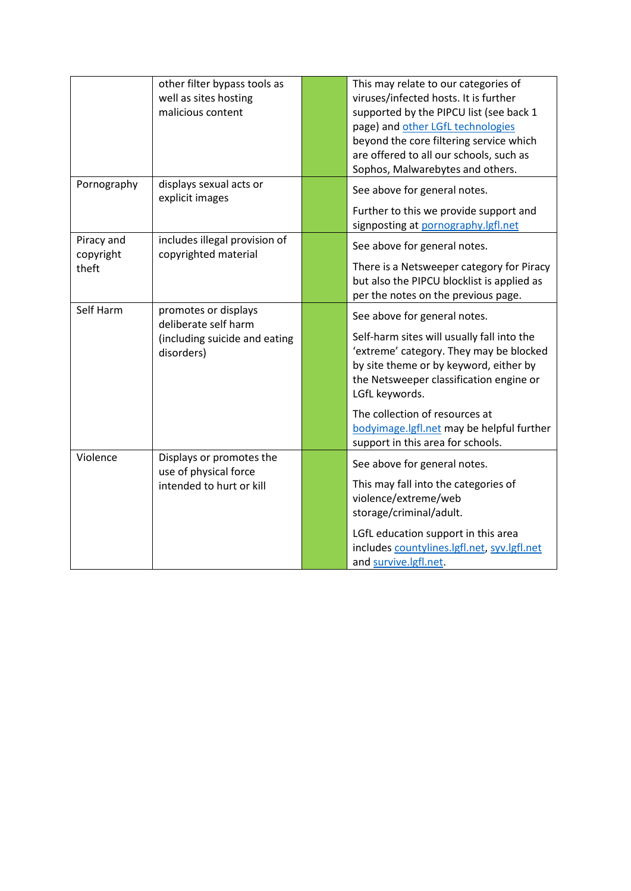|                         | other filter bypass tools as<br>well as sites hosting<br>malicious content | This may relate to our categories of<br>viruses/infected hosts. It is further<br>supported by the PIPCU list (see back 1<br>page) and other LGfL technologies<br>beyond the core filtering service which<br>are offered to all our schools, such as<br>Sophos, Malwarebytes and others. |
|-------------------------|----------------------------------------------------------------------------|-----------------------------------------------------------------------------------------------------------------------------------------------------------------------------------------------------------------------------------------------------------------------------------------|
| Pornography             | displays sexual acts or<br>explicit images                                 | See above for general notes.<br>Further to this we provide support and<br>signposting at pornography.lgfl.net                                                                                                                                                                           |
| Piracy and<br>copyright | includes illegal provision of<br>copyrighted material                      | See above for general notes.                                                                                                                                                                                                                                                            |
| theft                   |                                                                            | There is a Netsweeper category for Piracy<br>but also the PIPCU blocklist is applied as<br>per the notes on the previous page.                                                                                                                                                          |
| Self Harm               | promotes or displays<br>deliberate self harm                               | See above for general notes.                                                                                                                                                                                                                                                            |
|                         | (including suicide and eating<br>disorders)                                | Self-harm sites will usually fall into the<br>'extreme' category. They may be blocked<br>by site theme or by keyword, either by<br>the Netsweeper classification engine or<br>LGfL keywords.                                                                                            |
|                         |                                                                            | The collection of resources at<br>bodyimage.lgfl.net may be helpful further<br>support in this area for schools.                                                                                                                                                                        |
| Violence                | Displays or promotes the<br>use of physical force                          | See above for general notes.                                                                                                                                                                                                                                                            |
|                         | intended to hurt or kill                                                   | This may fall into the categories of<br>violence/extreme/web<br>storage/criminal/adult.                                                                                                                                                                                                 |
|                         |                                                                            | LGfL education support in this area<br>includes countylines.lgfl.net, syv.lgfl.net<br>and survive.lgfl.net.                                                                                                                                                                             |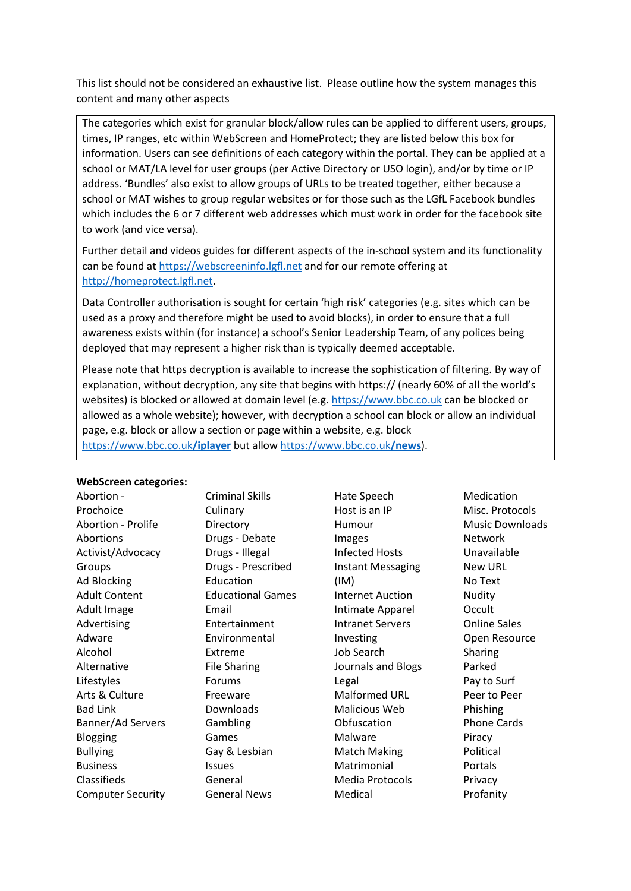This list should not be considered an exhaustive list. Please outline how the system manages this content and many other aspects

The categories which exist for granular block/allow rules can be applied to different users, groups, times, IP ranges, etc within WebScreen and HomeProtect; they are listed below this box for information. Users can see definitions of each category within the portal. They can be applied at a school or MAT/LA level for user groups (per Active Directory or USO login), and/or by time or IP address. 'Bundles' also exist to allow groups of URLs to be treated together, either because a school or MAT wishes to group regular websites or for those such as the LGfL Facebook bundles which includes the 6 or 7 different web addresses which must work in order for the facebook site to work (and vice versa).

Further detail and videos guides for different aspects of the in-school system and its functionality can be found at [https://webscreeninfo.lgfl.net](https://webscreeninfo.lgfl.net/) and for our remote offering at [http://homeprotect.lgfl.net.](http://homeprotect.lgfl.net/)

Data Controller authorisation is sought for certain 'high risk' categories (e.g. sites which can be used as a proxy and therefore might be used to avoid blocks), in order to ensure that a full awareness exists within (for instance) a school's Senior Leadership Team, of any polices being deployed that may represent a higher risk than is typically deemed acceptable.

Please note that https decryption is available to increase the sophistication of filtering. By way of explanation, without decryption, any site that begins with https:// (nearly 60% of all the world's websites) is blocked or allowed at domain level (e.g. [https://www.bbc.co.uk](https://www.bbc.co.uk/) can be blocked or allowed as a whole website); however, with decryption a school can block or allow an individual page, e.g. block or allow a section or page within a website, e.g. block [https://www.bbc.co.uk](https://www.bbc.co.uk/iplayer)**/iplayer** but allow [https://www.bbc.co.uk](https://www.bbc.co.uk/news)**/news**).

#### **WebScreen categories:**

| <u>WENJU CEII LALEKUI IEJ.</u> |                          |
|--------------------------------|--------------------------|
| - Abortion                     | Criminal Skills          |
| Prochoice                      | Culinary                 |
| <b>Abortion - Prolife</b>      | Directory                |
| Abortions                      | Drugs - Debate           |
| Activist/Advocacy              | Drugs - Illegal          |
| Groups                         | Drugs - Prescribed       |
| Ad Blocking                    | Education                |
| <b>Adult Content</b>           | <b>Educational Games</b> |
| Adult Image                    | Email                    |
| Advertising                    | Entertainment            |
| Adware                         | Environmental            |
| Alcohol                        | Extreme                  |
| Alternative                    | <b>File Sharing</b>      |
| Lifestyles                     | Forums                   |
| Arts & Culture                 | Freeware                 |
| Bad Link                       | Downloads                |
| Banner/Ad Servers              | Gambling                 |
| Blogging                       | Games                    |
| <b>Bullying</b>                | Gay & Lesbian            |
| <b>Business</b>                | <b>Issues</b>            |
| Classifieds                    | General                  |
| <b>Computer Security</b>       | General News             |

Hate Speech Host is an IP Humour Images Infected Hosts Instant Messaging (IM) Internet Auction Intimate Apparel Intranet Servers Investing Job Search Journals and Blogs Legal Malformed URL Malicious Web Obfuscation Malware Match Making Matrimonial Media Protocols Medical

Medication Misc. Protocols Music Downloads Network Unavailable New URL No Text Nudity Occult Online Sales Open Resource Sharing Parked Pay to Surf Peer to Peer Phishing Phone Cards Piracy Political Portals Privacy Profanity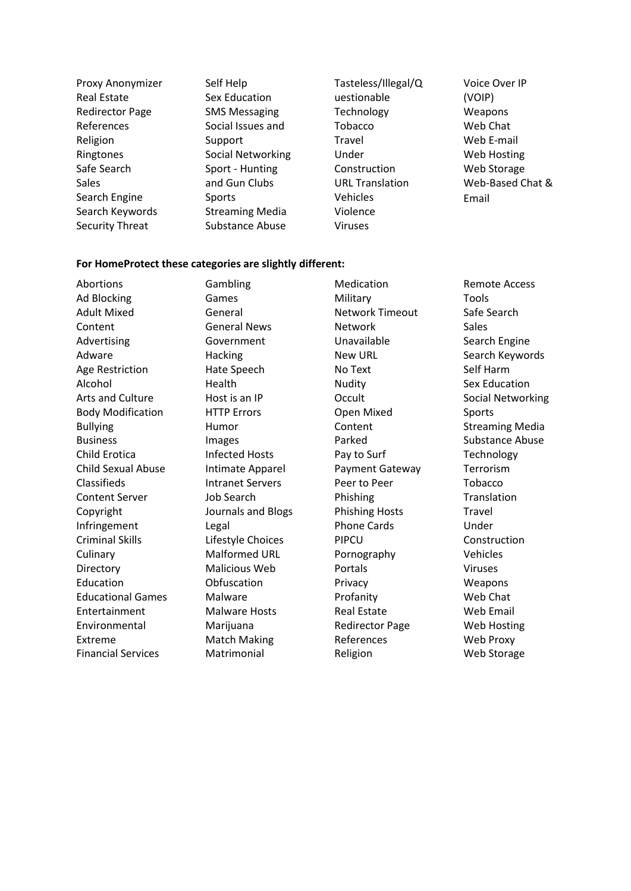Proxy Anonymizer Real Estate Redirector Page References Religion Ringtones Safe Search Sales Search Engine Search Keywords Security Threat Self Help Sex Education SMS Messaging Social Issues and Support Social Networking Sport - Hunting and Gun Clubs Sports Streaming Media Substance Abuse

Tasteless/Illegal/Q uestionable **Technology** Tobacco Travel Under Construction URL Translation Vehicles Violence Viruses

Voice Over IP (VOIP) Weapons Web Chat Web E-mail Web Hosting Web Storage Web-Based Chat & Email

#### **For HomeProtect these categories are slightly different:**

Abortions Ad Blocking Adult Mixed Content Advertising Adware Age Restriction Alcohol Arts and Culture Body Modification Bullying Business Child Erotica Child Sexual Abuse Classifieds Content Server Copyright Infringement Criminal Skills **Culinary** Directory Education Educational Games Entertainment Environmental Extreme Financial Services Gambling Games General General News Government **Hacking** Hate Speech Health Host is an IP HTTP Errors Humor Images Infected Hosts Intimate Apparel Intranet Servers Job Search Journals and Blogs Legal Lifestyle Choices Malformed URL Malicious Web **Obfuscation** Malware Malware Hosts Marijuana Match Making Matrimonial Medication Military Network Timeout Network Unavailable New URL No Text Nudity **Occult** Open Mixed Content Parked Pay to Surf Payment Gateway Peer to Peer Phishing Phishing Hosts Phone Cards PIPCU Pornography Portals Privacy Profanity Real Estate Redirector Page References Religion

Remote Access Tools Safe Search Sales Search Engine Search Keywords Self Harm Sex Education Social Networking Sports Streaming Media Substance Abuse Technology Terrorism Tobacco Translation Travel Under Construction Vehicles Viruses Weapons Web Chat Web Email Web Hosting Web Proxy Web Storage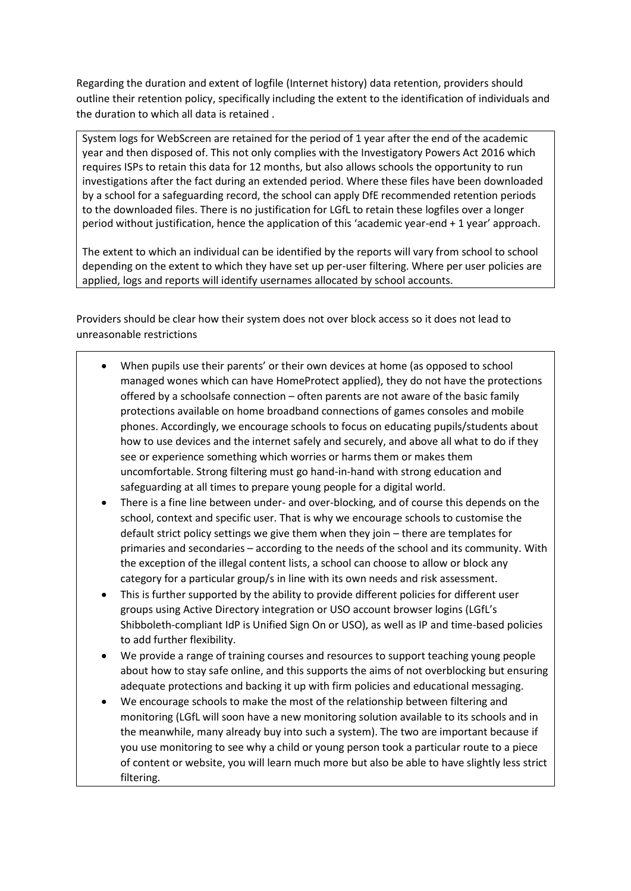Regarding the duration and extent of logfile (Internet history) data retention, providers should outline their retention policy, specifically including the extent to the identification of individuals and the duration to which all data is retained .

System logs for WebScreen are retained for the period of 1 year after the end of the academic year and then disposed of. This not only complies with the Investigatory Powers Act 2016 which requires ISPs to retain this data for 12 months, but also allows schools the opportunity to run investigations after the fact during an extended period. Where these files have been downloaded by a school for a safeguarding record, the school can apply DfE recommended retention periods to the downloaded files. There is no justification for LGfL to retain these logfiles over a longer period without justification, hence the application of this 'academic year-end + 1 year' approach.

The extent to which an individual can be identified by the reports will vary from school to school depending on the extent to which they have set up per-user filtering. Where per user policies are applied, logs and reports will identify usernames allocated by school accounts.

Providers should be clear how their system does not over block access so it does not lead to unreasonable restrictions

- When pupils use their parents' or their own devices at home (as opposed to school managed wones which can have HomeProtect applied), they do not have the protections offered by a schoolsafe connection – often parents are not aware of the basic family protections available on home broadband connections of games consoles and mobile phones. Accordingly, we encourage schools to focus on educating pupils/students about how to use devices and the internet safely and securely, and above all what to do if they see or experience something which worries or harms them or makes them uncomfortable. Strong filtering must go hand-in-hand with strong education and safeguarding at all times to prepare young people for a digital world.
- There is a fine line between under- and over-blocking, and of course this depends on the school, context and specific user. That is why we encourage schools to customise the default strict policy settings we give them when they join – there are templates for primaries and secondaries – according to the needs of the school and its community. With the exception of the illegal content lists, a school can choose to allow or block any category for a particular group/s in line with its own needs and risk assessment.
- This is further supported by the ability to provide different policies for different user groups using Active Directory integration or USO account browser logins (LGfL's Shibboleth‐compliant IdP is Unified Sign On or USO), as well as IP and time-based policies to add further flexibility.
- We provide a range of training courses and resources to support teaching young people about how to stay safe online, and this supports the aims of not overblocking but ensuring adequate protections and backing it up with firm policies and educational messaging.
- We encourage schools to make the most of the relationship between filtering and monitoring (LGfL will soon have a new monitoring solution available to its schools and in the meanwhile, many already buy into such a system). The two are important because if you use monitoring to see why a child or young person took a particular route to a piece of content or website, you will learn much more but also be able to have slightly less strict filtering.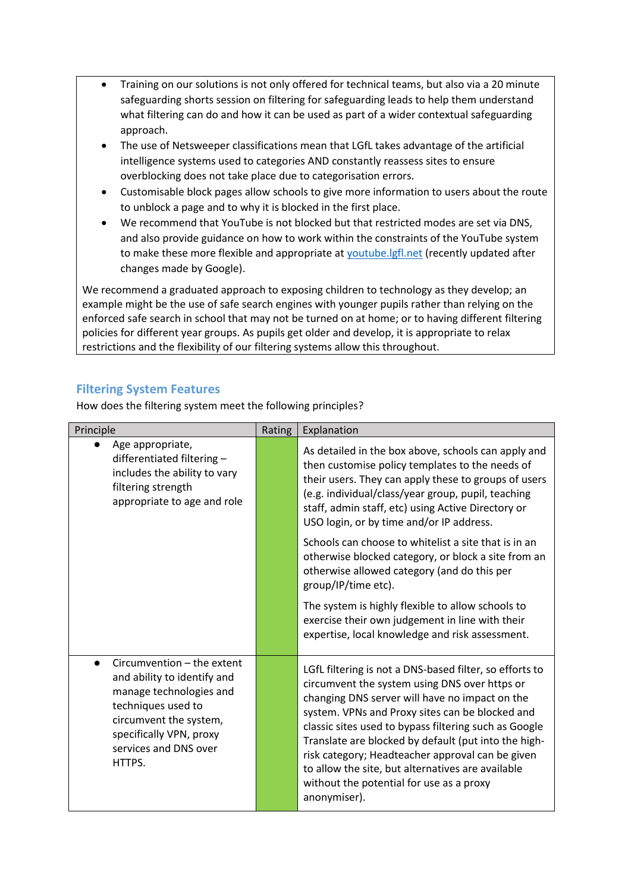- Training on our solutions is not only offered for technical teams, but also via a 20 minute safeguarding shorts session on filtering for safeguarding leads to help them understand what filtering can do and how it can be used as part of a wider contextual safeguarding approach.
- The use of Netsweeper classifications mean that LGfL takes advantage of the artificial intelligence systems used to categories AND constantly reassess sites to ensure overblocking does not take place due to categorisation errors.
- Customisable block pages allow schools to give more information to users about the route to unblock a page and to why it is blocked in the first place.
- We recommend that YouTube is not blocked but that restricted modes are set via DNS, and also provide guidance on how to work within the constraints of the YouTube system to make these more flexible and appropriate at [youtube.lgfl.net](https://youtube.lgfl.net/) (recently updated after changes made by Google).

We recommend a graduated approach to exposing children to technology as they develop; an example might be the use of safe search engines with younger pupils rather than relying on the enforced safe search in school that may not be turned on at home; or to having different filtering policies for different year groups. As pupils get older and develop, it is appropriate to relax restrictions and the flexibility of our filtering systems allow this throughout.

#### **Filtering System Features**

How does the filtering system meet the following principles?

| Principle                                                                                                                                                                                          | Rating | Explanation                                                                                                                                                                                                                                                                                                                                                                                                                                                                                         |
|----------------------------------------------------------------------------------------------------------------------------------------------------------------------------------------------------|--------|-----------------------------------------------------------------------------------------------------------------------------------------------------------------------------------------------------------------------------------------------------------------------------------------------------------------------------------------------------------------------------------------------------------------------------------------------------------------------------------------------------|
| Age appropriate,<br>differentiated filtering-<br>includes the ability to vary<br>filtering strength<br>appropriate to age and role                                                                 |        | As detailed in the box above, schools can apply and<br>then customise policy templates to the needs of<br>their users. They can apply these to groups of users<br>(e.g. individual/class/year group, pupil, teaching<br>staff, admin staff, etc) using Active Directory or<br>USO login, or by time and/or IP address.                                                                                                                                                                              |
|                                                                                                                                                                                                    |        | Schools can choose to whitelist a site that is in an<br>otherwise blocked category, or block a site from an<br>otherwise allowed category (and do this per<br>group/IP/time etc).                                                                                                                                                                                                                                                                                                                   |
|                                                                                                                                                                                                    |        | The system is highly flexible to allow schools to<br>exercise their own judgement in line with their<br>expertise, local knowledge and risk assessment.                                                                                                                                                                                                                                                                                                                                             |
| Circumvention - the extent<br>and ability to identify and<br>manage technologies and<br>techniques used to<br>circumvent the system,<br>specifically VPN, proxy<br>services and DNS over<br>HTTPS. |        | LGfL filtering is not a DNS-based filter, so efforts to<br>circumvent the system using DNS over https or<br>changing DNS server will have no impact on the<br>system. VPNs and Proxy sites can be blocked and<br>classic sites used to bypass filtering such as Google<br>Translate are blocked by default (put into the high-<br>risk category; Headteacher approval can be given<br>to allow the site, but alternatives are available<br>without the potential for use as a proxy<br>anonymiser). |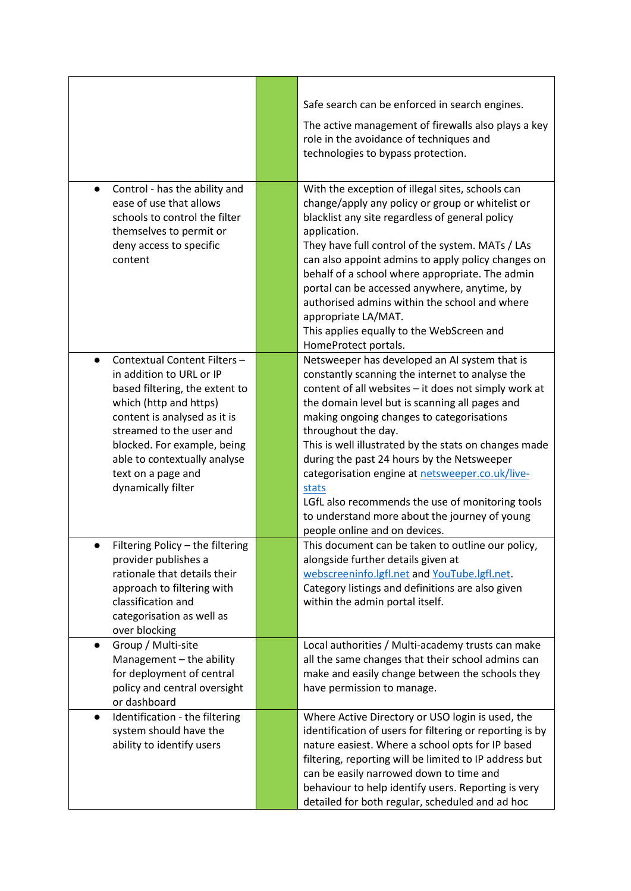|                                                                                                                                                                                                                                                                                                         | Safe search can be enforced in search engines.<br>The active management of firewalls also plays a key<br>role in the avoidance of techniques and<br>technologies to bypass protection.                                                                                                                                                                                                                                                                                                                                                                                                  |
|---------------------------------------------------------------------------------------------------------------------------------------------------------------------------------------------------------------------------------------------------------------------------------------------------------|-----------------------------------------------------------------------------------------------------------------------------------------------------------------------------------------------------------------------------------------------------------------------------------------------------------------------------------------------------------------------------------------------------------------------------------------------------------------------------------------------------------------------------------------------------------------------------------------|
| Control - has the ability and<br>$\bullet$<br>ease of use that allows<br>schools to control the filter<br>themselves to permit or<br>deny access to specific<br>content                                                                                                                                 | With the exception of illegal sites, schools can<br>change/apply any policy or group or whitelist or<br>blacklist any site regardless of general policy<br>application.<br>They have full control of the system. MATs / LAs<br>can also appoint admins to apply policy changes on<br>behalf of a school where appropriate. The admin<br>portal can be accessed anywhere, anytime, by<br>authorised admins within the school and where<br>appropriate LA/MAT.<br>This applies equally to the WebScreen and<br>HomeProtect portals.                                                       |
| Contextual Content Filters-<br>$\bullet$<br>in addition to URL or IP<br>based filtering, the extent to<br>which (http and https)<br>content is analysed as it is<br>streamed to the user and<br>blocked. For example, being<br>able to contextually analyse<br>text on a page and<br>dynamically filter | Netsweeper has developed an AI system that is<br>constantly scanning the internet to analyse the<br>content of all websites - it does not simply work at<br>the domain level but is scanning all pages and<br>making ongoing changes to categorisations<br>throughout the day.<br>This is well illustrated by the stats on changes made<br>during the past 24 hours by the Netsweeper<br>categorisation engine at netsweeper.co.uk/live-<br>stats<br>LGfL also recommends the use of monitoring tools<br>to understand more about the journey of young<br>people online and on devices. |
| Filtering Policy - the filtering<br>provider publishes a<br>rationale that details their<br>approach to filtering with<br>classification and<br>categorisation as well as<br>over blocking                                                                                                              | This document can be taken to outline our policy,<br>alongside further details given at<br>webscreeninfo.lgfl.net and YouTube.lgfl.net.<br>Category listings and definitions are also given<br>within the admin portal itself.                                                                                                                                                                                                                                                                                                                                                          |
| Group / Multi-site<br>$\bullet$<br>Management - the ability<br>for deployment of central<br>policy and central oversight<br>or dashboard                                                                                                                                                                | Local authorities / Multi-academy trusts can make<br>all the same changes that their school admins can<br>make and easily change between the schools they<br>have permission to manage.                                                                                                                                                                                                                                                                                                                                                                                                 |
| Identification - the filtering<br>$\bullet$<br>system should have the<br>ability to identify users                                                                                                                                                                                                      | Where Active Directory or USO login is used, the<br>identification of users for filtering or reporting is by<br>nature easiest. Where a school opts for IP based<br>filtering, reporting will be limited to IP address but<br>can be easily narrowed down to time and<br>behaviour to help identify users. Reporting is very<br>detailed for both regular, scheduled and ad hoc                                                                                                                                                                                                         |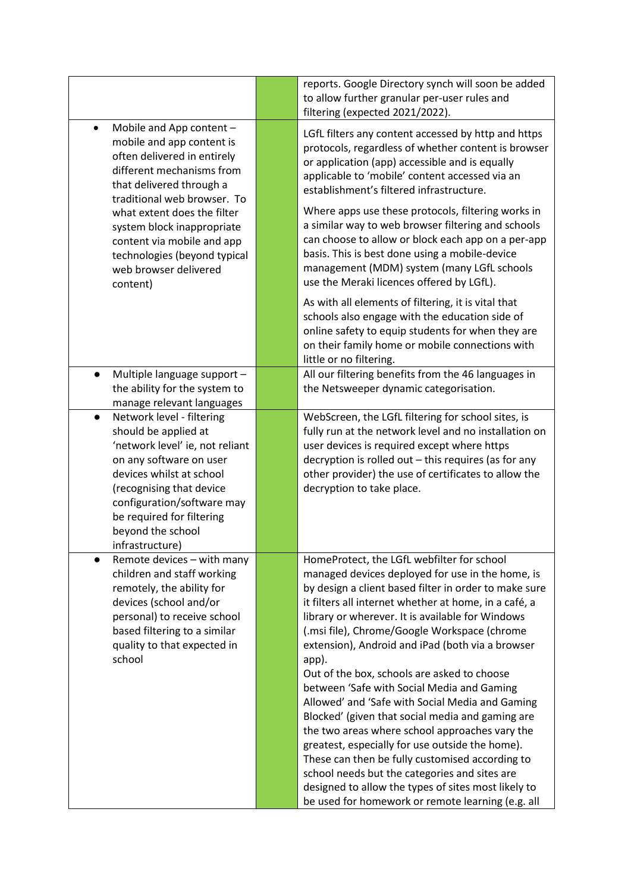|                                                                                                                                                                                                                                                                                                                                                           | reports. Google Directory synch will soon be added<br>to allow further granular per-user rules and<br>filtering (expected 2021/2022).                                                                                                                                                                                                                                                                                                                                                                                                                                                                                                                                                                                                                                                                                                                                                                      |
|-----------------------------------------------------------------------------------------------------------------------------------------------------------------------------------------------------------------------------------------------------------------------------------------------------------------------------------------------------------|------------------------------------------------------------------------------------------------------------------------------------------------------------------------------------------------------------------------------------------------------------------------------------------------------------------------------------------------------------------------------------------------------------------------------------------------------------------------------------------------------------------------------------------------------------------------------------------------------------------------------------------------------------------------------------------------------------------------------------------------------------------------------------------------------------------------------------------------------------------------------------------------------------|
| Mobile and App content -<br>$\bullet$<br>mobile and app content is<br>often delivered in entirely<br>different mechanisms from<br>that delivered through a<br>traditional web browser. To<br>what extent does the filter<br>system block inappropriate<br>content via mobile and app<br>technologies (beyond typical<br>web browser delivered<br>content) | LGfL filters any content accessed by http and https<br>protocols, regardless of whether content is browser<br>or application (app) accessible and is equally<br>applicable to 'mobile' content accessed via an<br>establishment's filtered infrastructure.<br>Where apps use these protocols, filtering works in<br>a similar way to web browser filtering and schools<br>can choose to allow or block each app on a per-app<br>basis. This is best done using a mobile-device<br>management (MDM) system (many LGfL schools<br>use the Meraki licences offered by LGfL).                                                                                                                                                                                                                                                                                                                                  |
|                                                                                                                                                                                                                                                                                                                                                           | As with all elements of filtering, it is vital that<br>schools also engage with the education side of<br>online safety to equip students for when they are<br>on their family home or mobile connections with<br>little or no filtering.                                                                                                                                                                                                                                                                                                                                                                                                                                                                                                                                                                                                                                                                   |
| Multiple language support -<br>the ability for the system to<br>manage relevant languages                                                                                                                                                                                                                                                                 | All our filtering benefits from the 46 languages in<br>the Netsweeper dynamic categorisation.                                                                                                                                                                                                                                                                                                                                                                                                                                                                                                                                                                                                                                                                                                                                                                                                              |
| Network level - filtering<br>$\bullet$<br>should be applied at<br>'network level' ie, not reliant<br>on any software on user<br>devices whilst at school<br>(recognising that device<br>configuration/software may<br>be required for filtering<br>beyond the school<br>infrastructure)                                                                   | WebScreen, the LGfL filtering for school sites, is<br>fully run at the network level and no installation on<br>user devices is required except where https<br>decryption is rolled out - this requires (as for any<br>other provider) the use of certificates to allow the<br>decryption to take place.                                                                                                                                                                                                                                                                                                                                                                                                                                                                                                                                                                                                    |
| Remote devices - with many<br>children and staff working<br>remotely, the ability for<br>devices (school and/or<br>personal) to receive school<br>based filtering to a similar<br>quality to that expected in<br>school                                                                                                                                   | HomeProtect, the LGfL webfilter for school<br>managed devices deployed for use in the home, is<br>by design a client based filter in order to make sure<br>it filters all internet whether at home, in a café, a<br>library or wherever. It is available for Windows<br>(.msi file), Chrome/Google Workspace (chrome<br>extension), Android and iPad (both via a browser<br>app).<br>Out of the box, schools are asked to choose<br>between 'Safe with Social Media and Gaming<br>Allowed' and 'Safe with Social Media and Gaming<br>Blocked' (given that social media and gaming are<br>the two areas where school approaches vary the<br>greatest, especially for use outside the home).<br>These can then be fully customised according to<br>school needs but the categories and sites are<br>designed to allow the types of sites most likely to<br>be used for homework or remote learning (e.g. all |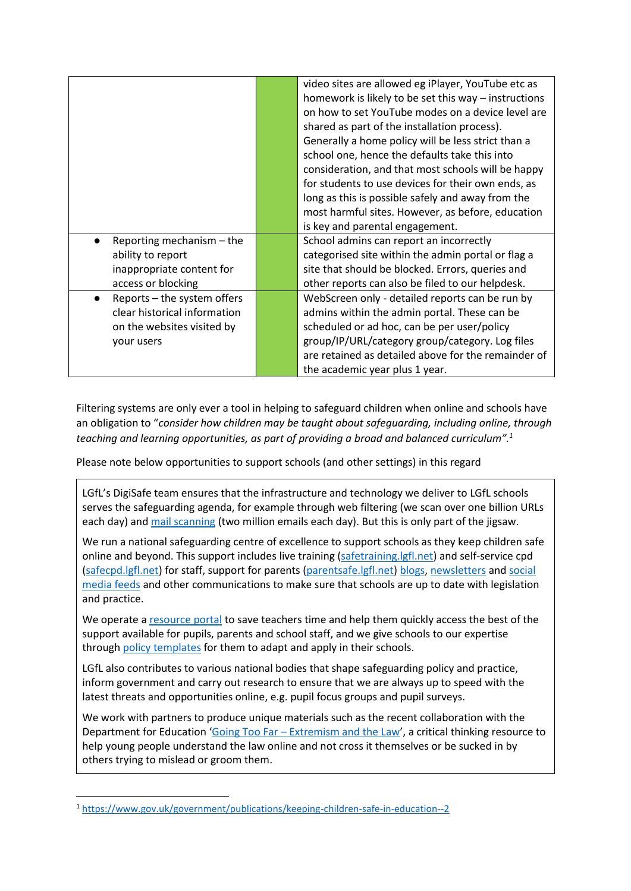|                              | video sites are allowed eg iPlayer, YouTube etc as   |
|------------------------------|------------------------------------------------------|
|                              | homework is likely to be set this way - instructions |
|                              | on how to set YouTube modes on a device level are    |
|                              | shared as part of the installation process).         |
|                              | Generally a home policy will be less strict than a   |
|                              | school one, hence the defaults take this into        |
|                              | consideration, and that most schools will be happy   |
|                              | for students to use devices for their own ends, as   |
|                              | long as this is possible safely and away from the    |
|                              | most harmful sites. However, as before, education    |
|                              | is key and parental engagement.                      |
| Reporting mechanism $-$ the  | School admins can report an incorrectly              |
| ability to report            | categorised site within the admin portal or flag a   |
| inappropriate content for    | site that should be blocked. Errors, queries and     |
| access or blocking           | other reports can also be filed to our helpdesk.     |
| Reports - the system offers  | WebScreen only - detailed reports can be run by      |
| clear historical information | admins within the admin portal. These can be         |
| on the websites visited by   | scheduled or ad hoc, can be per user/policy          |
| your users                   | group/IP/URL/category group/category. Log files      |
|                              | are retained as detailed above for the remainder of  |
|                              | the academic year plus 1 year.                       |

Filtering systems are only ever a tool in helping to safeguard children when online and schools have an obligation to "*consider how children may be taught about safeguarding, including online, through teaching and learning opportunities, as part of providing a broad and balanced curriculum".<sup>1</sup>*

Please note below opportunities to support schools (and other settings) in this regard

LGfL's DigiSafe team ensures that the infrastructure and technology we deliver to LGfL schools serves the safeguarding agenda, for example through web filtering (we scan over one billion URLs each day) an[d mail scanning](https://www.lgfl.net/services/mail-protect) (two million emails each day). But this is only part of the jigsaw.

We run a national safeguarding centre of excellence to support schools as they keep children safe online and beyond. This support includes live training [\(safetraining.lgfl.net\)](http://safetraining.lgfl.net/) and self-service cpd [\(safecpd.lgfl.net\)](https://safecpd.lgfl.net/) for staff, support for parents [\(parentsafe.lgfl.net\)](https://parentsafe.lgfl.net/) [blogs,](http://safeblog.lgfl.net/) [newsletters](http://safenewsletter.lgfl.net/) an[d social](https://twitter.com/lgfldigisafe)  [media feeds](https://twitter.com/lgfldigisafe) and other communications to make sure that schools are up to date with legislation and practice.

We operate a [resource portal](http://saferesources.lgfl.net/) to save teachers time and help them quickly access the best of the support available for pupils, parents and school staff, and we give schools to our expertise through [policy templates](http://safepolicies.lgfl.net/) for them to adapt and apply in their schools.

LGfL also contributes to various national bodies that shape safeguarding policy and practice, inform government and carry out research to ensure that we are always up to speed with the latest threats and opportunities online, e.g. pupil focus groups and pupil surveys.

We work with partners to produce unique materials such as the recent collaboration with the Department for Education 'Going Too Far – [Extremism and the Law](https://goingtoofar.lgfl.net/)', a critical thinking resource to help young people understand the law online and not cross it themselves or be sucked in by others trying to mislead or groom them.

<sup>1</sup> <https://www.gov.uk/government/publications/keeping-children-safe-in-education--2>